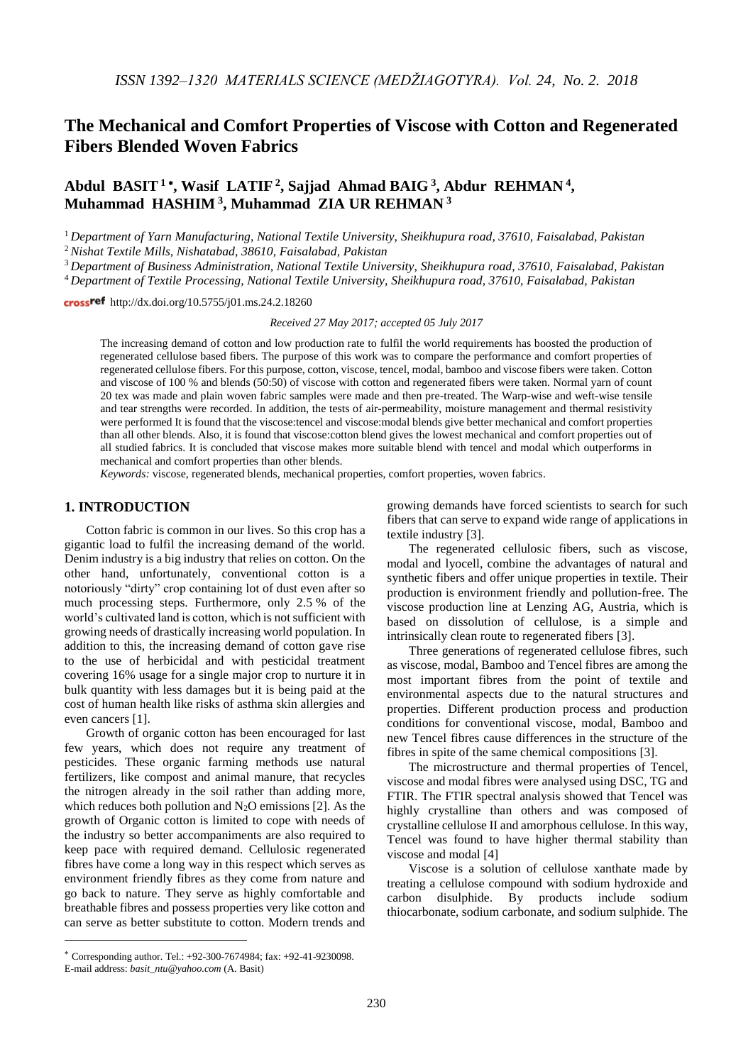# **The Mechanical and Comfort Properties of Viscose with Cotton and Regenerated Fibers Blended Woven Fabrics**

# Abdul BASIT<sup>1</sup><sup>\*</sup>, Wasif LATIF<sup>2</sup>, Sajjad Ahmad BAIG<sup>3</sup>, Abdur REHMAN<sup>4</sup>, **Muhammad HASHIM <sup>3</sup> , Muhammad ZIA UR REHMAN <sup>3</sup>**

<sup>1</sup> *Department of Yarn Manufacturing, National Textile University, Sheikhupura road, 37610, Faisalabad, Pakistan*

<sup>2</sup> *Nishat Textile Mills, Nishatabad, 38610, Faisalabad, Pakistan*

<sup>3</sup> *Department of Business Administration, National Textile University, Sheikhupura road, 37610, Faisalabad, Pakistan*

<sup>4</sup> *Department of Textile Processing, National Textile University, Sheikhupura road, 37610, Faisalabad, Pakistan*

http://dx.doi.org/10.5755/j01.ms.24.2.18260

#### *Received 27 May 2017; accepted 05 July 2017*

The increasing demand of cotton and low production rate to fulfil the world requirements has boosted the production of regenerated cellulose based fibers. The purpose of this work was to compare the performance and comfort properties of regenerated cellulose fibers. For this purpose, cotton, viscose, tencel, modal, bamboo and viscose fibers were taken. Cotton and viscose of 100 % and blends (50:50) of viscose with cotton and regenerated fibers were taken. Normal yarn of count 20 tex was made and plain woven fabric samples were made and then pre-treated. The Warp-wise and weft-wise tensile and tear strengths were recorded. In addition, the tests of air-permeability, moisture management and thermal resistivity were performed It is found that the viscose:tencel and viscose:modal blends give better mechanical and comfort properties than all other blends. Also, it is found that viscose:cotton blend gives the lowest mechanical and comfort properties out of all studied fabrics. It is concluded that viscose makes more suitable blend with tencel and modal which outperforms in mechanical and comfort properties than other blends.

*Keywords:* viscose, regenerated blends, mechanical properties, comfort properties, woven fabrics.

# **1. INTRODUCTION**

Cotton fabric is common in our lives. So this crop has a gigantic load to fulfil the increasing demand of the world. Denim industry is a big industry that relies on cotton. On the other hand, unfortunately, conventional cotton is a notoriously "dirty" crop containing lot of dust even after so much processing steps. Furthermore, only 2.5 % of the world's cultivated land is cotton, which is not sufficient with growing needs of drastically increasing world population. In addition to this, the increasing demand of cotton gave rise to the use of herbicidal and with pesticidal treatment covering 16% usage for a single major crop to nurture it in bulk quantity with less damages but it is being paid at the cost of human health like risks of asthma skin allergies and even cancers [1].

Growth of organic cotton has been encouraged for last few years, which does not require any treatment of pesticides. These organic farming methods use natural fertilizers, like compost and animal manure, that recycles the nitrogen already in the soil rather than adding more, which reduces both pollution and  $N_2O$  emissions [2]. As the growth of Organic cotton is limited to cope with needs of the industry so better accompaniments are also required to keep pace with required demand. Cellulosic regenerated fibres have come a long way in this respect which serves as environment friendly fibres as they come from nature and go back to nature. They serve as highly comfortable and breathable fibres and possess properties very like cotton and can serve as better substitute to cotton. Modern trends and

growing demands have forced scientists to search for such fibers that can serve to expand wide range of applications in textile industry [3].

The regenerated cellulosic fibers, such as viscose, modal and lyocell, combine the advantages of natural and synthetic fibers and offer unique properties in textile. Their production is environment friendly and pollution-free. The viscose production line at Lenzing AG, Austria, which is based on dissolution of cellulose, is a simple and intrinsically clean route to regenerated fibers [3].

Three generations of regenerated cellulose fibres, such as viscose, modal, Bamboo and Tencel fibres are among the most important fibres from the point of textile and environmental aspects due to the natural structures and properties. Different production process and production conditions for conventional viscose, modal, Bamboo and new Tencel fibres cause differences in the structure of the fibres in spite of the same chemical compositions [3].

The microstructure and thermal properties of Tencel, viscose and modal fibres were analysed using DSC, TG and FTIR. The FTIR spectral analysis showed that Tencel was highly crystalline than others and was composed of crystalline cellulose II and amorphous cellulose. In this way, Tencel was found to have higher thermal stability than viscose and modal [4]

Viscose is a solution of cellulose xanthate made by treating a cellulose compound with sodium hydroxide and carbon disulphide. By products include sodium thiocarbonate, sodium carbonate, and sodium sulphide. The

<u>.</u>

Corresponding author. Tel.: +92-300-7674984; fax: +92-41-9230098. E-mail address: *basit\_ntu@yahoo.com* (A. Basit)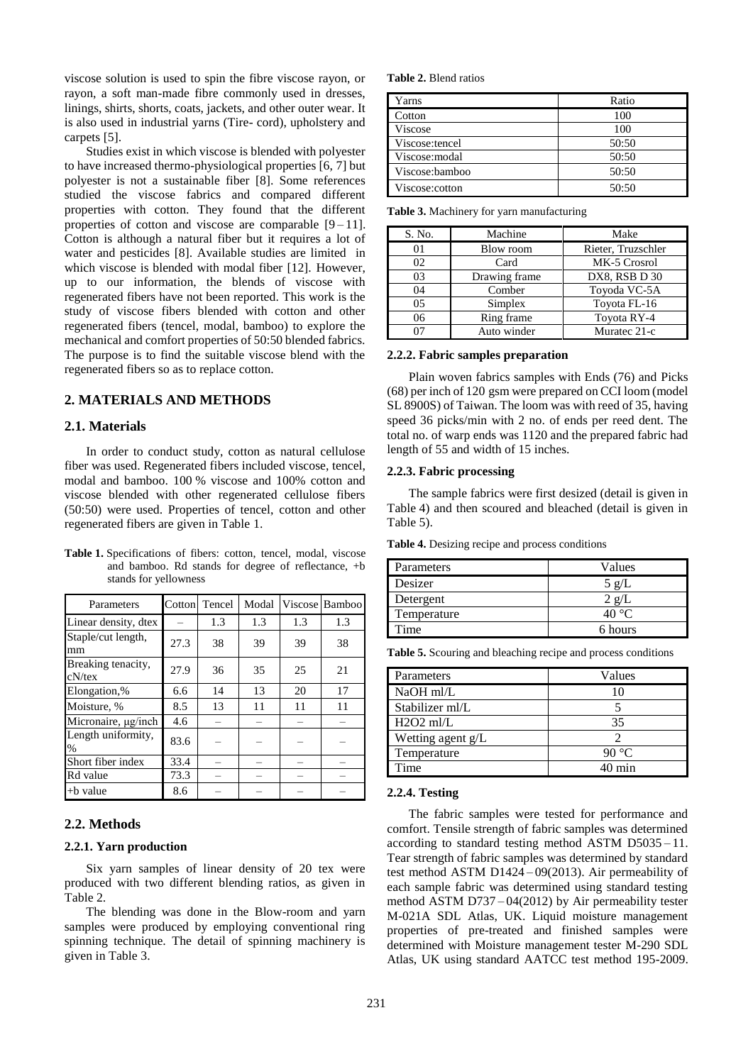viscose solution is used to spin the fibre viscose rayon, or rayon, a soft man-made fibre commonly used in dresses, linings, shirts, shorts, coats, jackets, and other outer wear. It is also used in industrial yarns (Tire- cord), upholstery and carpets [5].

Studies exist in which viscose is blended with polyester to have increased thermo-physiological properties [6, 7] but polyester is not a sustainable fiber [8]. Some references studied the viscose fabrics and compared different properties with cotton. They found that the different properties of cotton and viscose are comparable  $[9-11]$ . Cotton is although a natural fiber but it requires a lot of water and pesticides [8]. Available studies are limited in which viscose is blended with modal fiber [12]. However, up to our information, the blends of viscose with regenerated fibers have not been reported. This work is the study of viscose fibers blended with cotton and other regenerated fibers (tencel, modal, bamboo) to explore the mechanical and comfort properties of 50:50 blended fabrics. The purpose is to find the suitable viscose blend with the regenerated fibers so as to replace cotton.

# **2. MATERIALS AND METHODS**

# **2.1. Materials**

In order to conduct study, cotton as natural cellulose fiber was used. Regenerated fibers included viscose, tencel, modal and bamboo. 100 % viscose and 100% cotton and viscose blended with other regenerated cellulose fibers (50:50) were used. Properties of tencel, cotton and other regenerated fibers are given in Table 1.

**Table 1.** Specifications of fibers: cotton, tencel, modal, viscose and bamboo. Rd stands for degree of reflectance, +b stands for yellowness

| Parameters                      | Cotton | Tencel | Modal |     | Viscose Bamboo |
|---------------------------------|--------|--------|-------|-----|----------------|
| Linear density, dtex            |        | 1.3    | 1.3   | 1.3 | 1.3            |
| Staple/cut length,<br>mm        | 27.3   | 38     | 39    | 39  | 38             |
| Breaking tenacity,<br>$cN$ /tex | 27.9   | 36     | 35    | 25  | 21             |
| Elongation,%                    | 6.6    | 14     | 13    | 20  | 17             |
| Moisture, %                     | 8.5    | 13     | 11    | 11  | 11             |
| Micronaire, µg/inch             | 4.6    |        |       |     |                |
| Length uniformity,<br>%         | 83.6   |        |       |     |                |
| Short fiber index               | 33.4   |        |       |     |                |
| Rd value                        | 73.3   |        |       |     |                |
| +b value                        | 8.6    |        |       |     |                |

### **2.2. Methods**

#### **2.2.1. Yarn production**

Six yarn samples of linear density of 20 tex were produced with two different blending ratios, as given in Table 2.

The blending was done in the Blow-room and yarn samples were produced by employing conventional ring spinning technique. The detail of spinning machinery is given in Table 3.

| Yarns          | Ratio |
|----------------|-------|
| Cotton         | 100   |
| Viscose        | 100   |
| Viscose:tencel | 50:50 |
| Viscose:modal  | 50:50 |
| Viscose:bamboo | 50:50 |
| Viscose:cotton | 50:50 |

**Table 3.** Machinery for yarn manufacturing

| S. No.         | Machine       | Make               |
|----------------|---------------|--------------------|
| 01             | Blow room     | Rieter, Truzschler |
| 02             | Card          | MK-5 Crosrol       |
| 03             | Drawing frame | DX8, RSB D 30      |
| 04             | Comber        | Toyoda VC-5A       |
| 0 <sub>5</sub> | Simplex       | Toyota FL-16       |
| 06             | Ring frame    | Toyota RY-4        |
|                | Auto winder   | Muratec 21-c       |

### **2.2.2. Fabric samples preparation**

Plain woven fabrics samples with Ends (76) and Picks (68) per inch of 120 gsm were prepared on CCI loom (model SL 8900S) of Taiwan. The loom was with reed of 35, having speed 36 picks/min with 2 no. of ends per reed dent. The total no. of warp ends was 1120 and the prepared fabric had length of 55 and width of 15 inches.

### **2.2.3. Fabric processing**

The sample fabrics were first desized (detail is given in Table 4) and then scoured and bleached (detail is given in Table 5).

**Table 4.** Desizing recipe and process conditions

| Parameters  | Values  |
|-------------|---------|
| Desizer     | 5 g/L   |
| Detergent   | 2 g/L   |
| Temperature | 40 °C   |
| 'ime        | 6 hours |

**Table 5.** Scouring and bleaching recipe and process conditions

| Parameters        | Values         |
|-------------------|----------------|
| NaOH ml/L         |                |
| Stabilizer ml/L   |                |
| $H2O2$ ml/L       | 35             |
| Wetting agent g/L |                |
| Temperature       | 90 $\degree$ C |
| <b>Fime</b>       | 40 min         |

## **2.2.4. Testing**

The fabric samples were tested for performance and comfort. Tensile strength of fabric samples was determined according to standard testing method ASTM D5035 – 11. Tear strength of fabric samples was determined by standard test method ASTM D1424 – 09(2013). Air permeability of each sample fabric was determined using standard testing method ASTM D737 – 04(2012) by Air permeability tester M-021A SDL Atlas, UK. Liquid moisture management properties of pre-treated and finished samples were determined with Moisture management tester M-290 SDL Atlas, UK using standard AATCC test method 195-2009.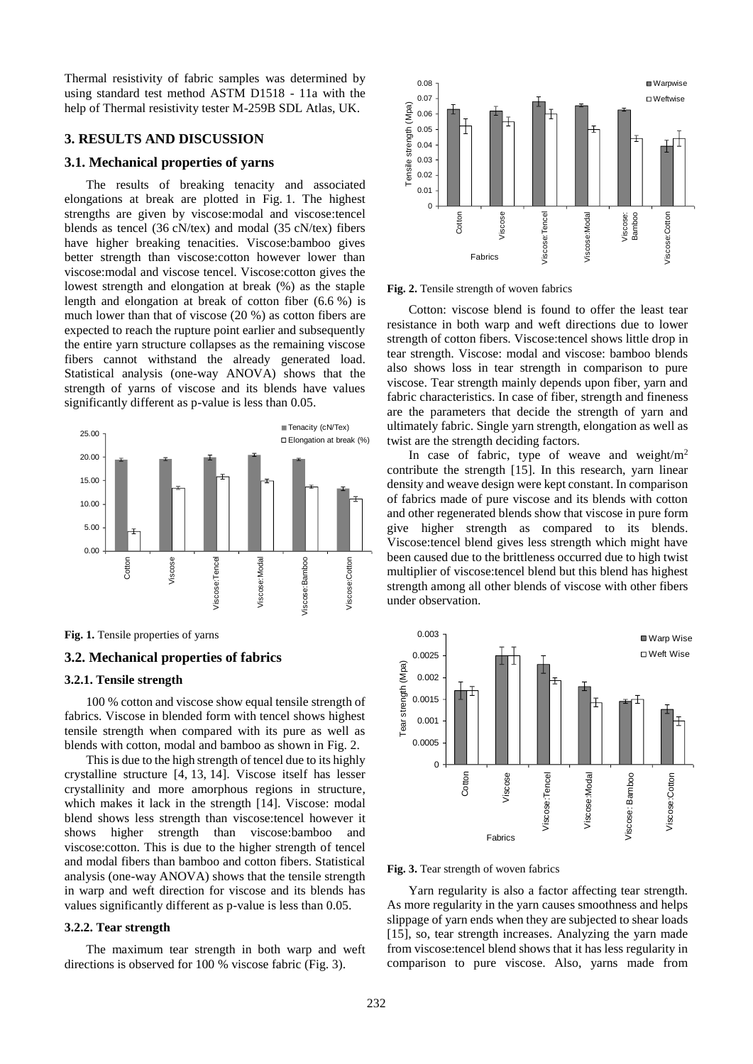Thermal resistivity of fabric samples was determined by using standard test method ASTM D1518 - 11a with the help of Thermal resistivity tester M-259B SDL Atlas, UK.

# **3. RESULTS AND DISCUSSION**

# **3.1. Mechanical properties of yarns**

The results of breaking tenacity and associated elongations at break are plotted in Fig. 1. The highest strengths are given by viscose:modal and viscose:tencel blends as tencel (36 cN/tex) and modal (35 cN/tex) fibers have higher breaking tenacities. Viscose:bamboo gives better strength than viscose:cotton however lower than viscose:modal and viscose tencel. Viscose:cotton gives the lowest strength and elongation at break (%) as the staple length and elongation at break of cotton fiber (6.6 %) is much lower than that of viscose (20 %) as cotton fibers are expected to reach the rupture point earlier and subsequently the entire yarn structure collapses as the remaining viscose fibers cannot withstand the already generated load. Statistical analysis (one-way ANOVA) shows that the strength of yarns of viscose and its blends have values significantly different as p-value is less than 0.05.



**Fig. 1.** Tensile properties of yarns

# **3.2. Mechanical properties of fabrics**

#### **3.2.1. Tensile strength**

100 % cotton and viscose show equal tensile strength of fabrics. Viscose in blended form with tencel shows highest tensile strength when compared with its pure as well as blends with cotton, modal and bamboo as shown in Fig. 2.

This is due to the high strength of tencel due to its highly crystalline structure [4, 13, 14]. Viscose itself has lesser crystallinity and more amorphous regions in structure, which makes it lack in the strength [14]. Viscose: modal blend shows less strength than viscose:tencel however it shows higher strength than viscose:bamboo and viscose:cotton. This is due to the higher strength of tencel and modal fibers than bamboo and cotton fibers. Statistical analysis (one-way ANOVA) shows that the tensile strength in warp and weft direction for viscose and its blends has values significantly different as p-value is less than 0.05.

#### **3.2.2. Tear strength**

The maximum tear strength in both warp and weft directions is observed for 100 % viscose fabric (Fig. 3).



#### **Fig. 2.** Tensile strength of woven fabrics

Cotton: viscose blend is found to offer the least tear resistance in both warp and weft directions due to lower strength of cotton fibers. Viscose:tencel shows little drop in tear strength. Viscose: modal and viscose: bamboo blends also shows loss in tear strength in comparison to pure viscose. Tear strength mainly depends upon fiber, yarn and fabric characteristics. In case of fiber, strength and fineness are the parameters that decide the strength of yarn and ultimately fabric. Single yarn strength, elongation as well as twist are the strength deciding factors.

In case of fabric, type of weave and weight/ $m<sup>2</sup>$ contribute the strength [15]. In this research, yarn linear density and weave design were kept constant. In comparison of fabrics made of pure viscose and its blends with cotton and other regenerated blends show that viscose in pure form give higher strength as compared to its blends. Viscose:tencel blend gives less strength which might have been caused due to the brittleness occurred due to high twist multiplier of viscose:tencel blend but this blend has highest strength among all other blends of viscose with other fibers under observation.



## **Fig. 3.** Tear strength of woven fabrics

Yarn regularity is also a factor affecting tear strength. As more regularity in the yarn causes smoothness and helps slippage of yarn ends when they are subjected to shear loads [15], so, tear strength increases. Analyzing the yarn made from viscose:tencel blend shows that it has less regularity in comparison to pure viscose. Also, yarns made from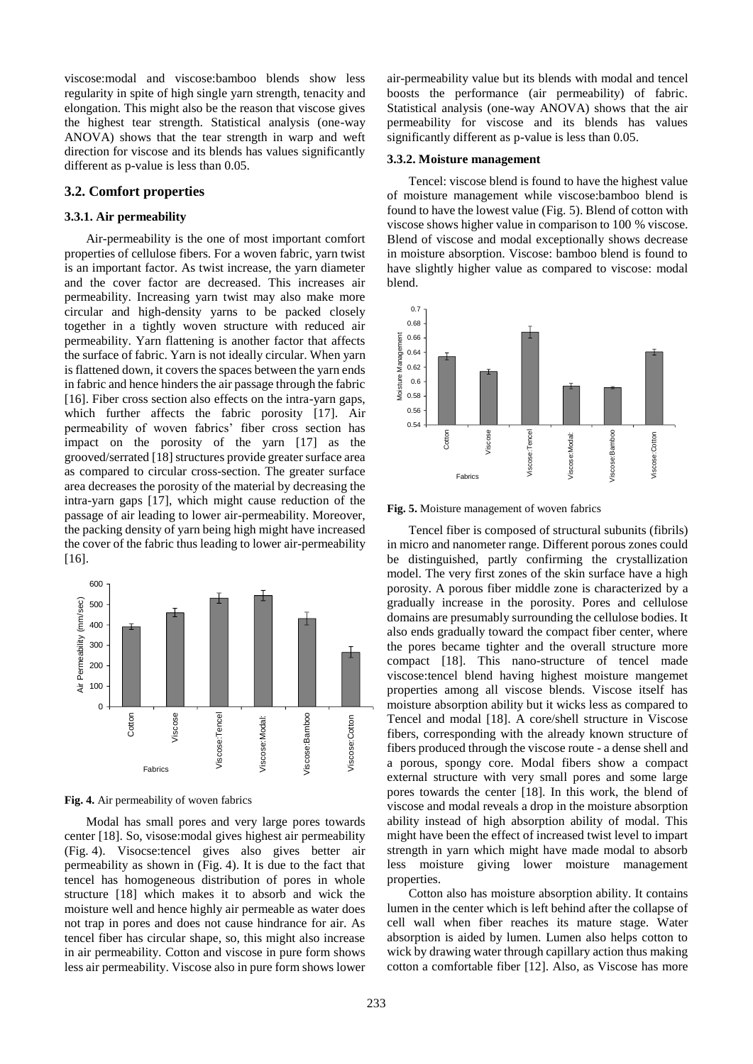viscose:modal and viscose:bamboo blends show less regularity in spite of high single yarn strength, tenacity and elongation. This might also be the reason that viscose gives the highest tear strength. Statistical analysis (one-way ANOVA) shows that the tear strength in warp and weft direction for viscose and its blends has values significantly different as p-value is less than 0.05.

# **3.2. Comfort properties**

### **3.3.1. Air permeability**

Air-permeability is the one of most important comfort properties of cellulose fibers. For a woven fabric, yarn twist is an important factor. As twist increase, the yarn diameter and the cover factor are decreased. This increases air permeability. Increasing yarn twist may also make more circular and high-density yarns to be packed closely together in a tightly woven structure with reduced air permeability. Yarn flattening is another factor that affects the surface of fabric. Yarn is not ideally circular. When yarn is flattened down, it covers the spaces between the yarn ends in fabric and hence hinders the air passage through the fabric [16]. Fiber cross section also effects on the intra-yarn gaps, which further affects the fabric porosity [17]. Air permeability of woven fabrics' fiber cross section has impact on the porosity of the yarn [17] as the grooved/serrated [18] structures provide greater surface area as compared to circular cross-section. The greater surface area decreases the porosity of the material by decreasing the intra-yarn gaps [17], which might cause reduction of the passage of air leading to lower air-permeability. Moreover, the packing density of yarn being high might have increased the cover of the fabric thus leading to lower air-permeability [16].



#### **Fig. 4.** Air permeability of woven fabrics

Modal has small pores and very large pores towards center [18]. So, visose:modal gives highest air permeability (Fig. 4). Visocse:tencel gives also gives better air permeability as shown in (Fig. 4). It is due to the fact that tencel has homogeneous distribution of pores in whole structure [18] which makes it to absorb and wick the moisture well and hence highly air permeable as water does not trap in pores and does not cause hindrance for air. As tencel fiber has circular shape, so, this might also increase in air permeability. Cotton and viscose in pure form shows less air permeability. Viscose also in pure form shows lower air-permeability value but its blends with modal and tencel boosts the performance (air permeability) of fabric*.* Statistical analysis (one-way ANOVA) shows that the air permeability for viscose and its blends has values significantly different as p-value is less than 0.05.

## **3.3.2. Moisture management**

Tencel: viscose blend is found to have the highest value of moisture management while viscose:bamboo blend is found to have the lowest value (Fig. 5). Blend of cotton with viscose shows higher value in comparison to 100 % viscose. Blend of viscose and modal exceptionally shows decrease in moisture absorption. Viscose: bamboo blend is found to have slightly higher value as compared to viscose: modal blend.



**Fig. 5.** Moisture management of woven fabrics

Tencel fiber is composed of structural subunits (fibrils) in micro and nanometer range. Different porous zones could be distinguished, partly confirming the crystallization model. The very first zones of the skin surface have a high porosity. A porous fiber middle zone is characterized by a gradually increase in the porosity. Pores and cellulose domains are presumably surrounding the cellulose bodies. It also ends gradually toward the compact fiber center, where the pores became tighter and the overall structure more compact [18]. This nano-structure of tencel made viscose:tencel blend having highest moisture mangemet properties among all viscose blends. Viscose itself has moisture absorption ability but it wicks less as compared to Tencel and modal [18]. A core/shell structure in Viscose fibers, corresponding with the already known structure of fibers produced through the viscose route - a dense shell and a porous, spongy core. Modal fibers show a compact external structure with very small pores and some large pores towards the center [18]. In this work, the blend of viscose and modal reveals a drop in the moisture absorption ability instead of high absorption ability of modal. This might have been the effect of increased twist level to impart strength in yarn which might have made modal to absorb less moisture giving lower moisture management properties.

Cotton also has moisture absorption ability. It contains lumen in the center which is left behind after the collapse of cell wall when fiber reaches its mature stage. Water absorption is aided by lumen. Lumen also helps cotton to wick by drawing water through capillary action thus making cotton a comfortable fiber [12]. Also, as Viscose has more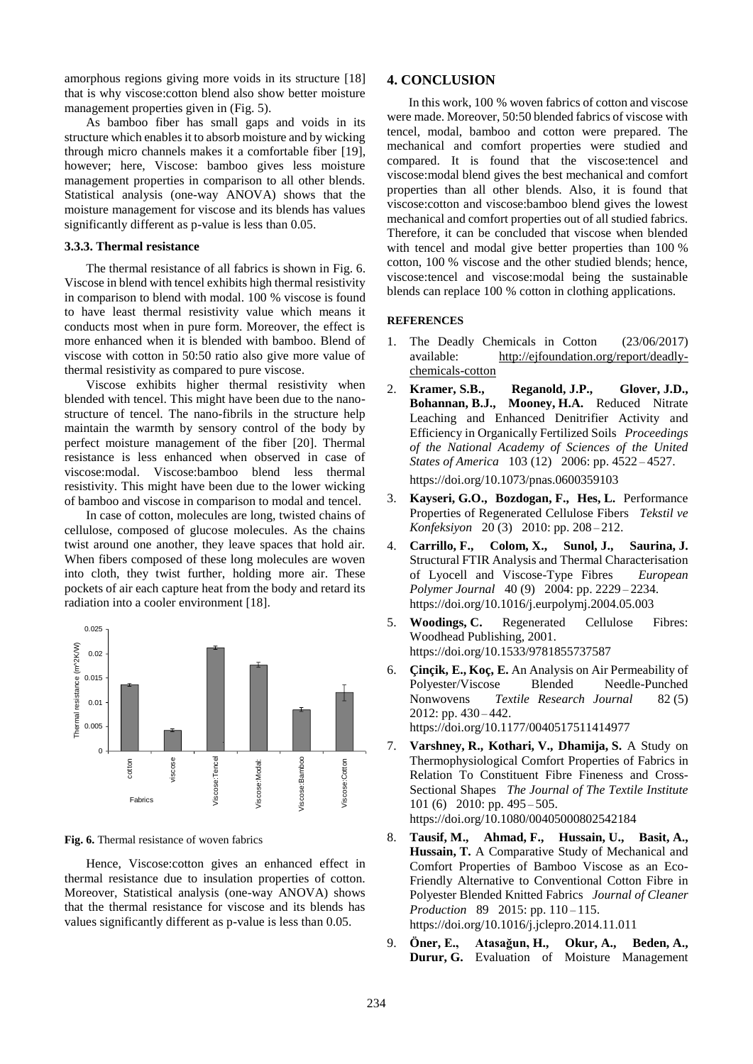amorphous regions giving more voids in its structure [18] that is why viscose:cotton blend also show better moisture management properties given in (Fig. 5).

As bamboo fiber has small gaps and voids in its structure which enables it to absorb moisture and by wicking through micro channels makes it a comfortable fiber [19], however; here, Viscose: bamboo gives less moisture management properties in comparison to all other blends. Statistical analysis (one-way ANOVA) shows that the moisture management for viscose and its blends has values significantly different as p-value is less than 0.05.

# **3.3.3. Thermal resistance**

The thermal resistance of all fabrics is shown in Fig. 6. Viscose in blend with tencel exhibits high thermal resistivity in comparison to blend with modal. 100 % viscose is found to have least thermal resistivity value which means it conducts most when in pure form. Moreover, the effect is more enhanced when it is blended with bamboo. Blend of viscose with cotton in 50:50 ratio also give more value of thermal resistivity as compared to pure viscose.

Viscose exhibits higher thermal resistivity when blended with tencel. This might have been due to the nanostructure of tencel. The nano-fibrils in the structure help maintain the warmth by sensory control of the body by perfect moisture management of the fiber [20]. Thermal resistance is less enhanced when observed in case of viscose:modal. Viscose:bamboo blend less thermal resistivity. This might have been due to the lower wicking of bamboo and viscose in comparison to modal and tencel.

In case of cotton, molecules are long, twisted chains of cellulose, composed of glucose molecules. As the chains twist around one another, they leave spaces that hold air. When fibers composed of these long molecules are woven into cloth, they twist further, holding more air. These pockets of air each capture heat from the body and retard its radiation into a cooler environment [18].



**Fig. 6.** Thermal resistance of woven fabrics

Hence, Viscose:cotton gives an enhanced effect in thermal resistance due to insulation properties of cotton. Moreover, Statistical analysis (one-way ANOVA) shows that the thermal resistance for viscose and its blends has values significantly different as p-value is less than 0.05.

# **4. CONCLUSION**

In this work, 100 % woven fabrics of cotton and viscose were made. Moreover, 50:50 blended fabrics of viscose with tencel, modal, bamboo and cotton were prepared. The mechanical and comfort properties were studied and compared. It is found that the viscose:tencel and viscose:modal blend gives the best mechanical and comfort properties than all other blends. Also, it is found that viscose:cotton and viscose:bamboo blend gives the lowest mechanical and comfort properties out of all studied fabrics. Therefore, it can be concluded that viscose when blended with tencel and modal give better properties than 100 % cotton, 100 % viscose and the other studied blends; hence, viscose:tencel and viscose:modal being the sustainable blends can replace 100 % cotton in clothing applications.

# **REFERENCES**

- 1. The Deadly Chemicals in Cotton(23/06/2017) available: [http://ejfoundation.org/report/deadly](http://ejfoundation.org/report/deadly-chemicals-cotton)[chemicals-cotton](http://ejfoundation.org/report/deadly-chemicals-cotton)
- 2. **Kramer, S.B., Reganold, J.P., Glover, J.D., Bohannan, B.J., Mooney, H.A.** Reduced Nitrate Leaching and Enhanced Denitrifier Activity and Efficiency in Organically Fertilized Soils *Proceedings of the National Academy of Sciences of the United States of America* 103 (12) 2006: pp. 4522 – 4527. https://doi.org/10.1073/pnas.0600359103
- 3. **Kayseri, G.O., Bozdogan, F., Hes, L.** Performance Properties of Regenerated Cellulose Fibers *Tekstil ve Konfeksiyon* 20 (3) 2010: pp. 208 – 212.
- 4. **Carrillo, F., Colom, X., Sunol, J., Saurina, J.** Structural FTIR Analysis and Thermal Characterisation of Lyocell and Viscose-Type Fibres *European Polymer Journal* 40 (9) 2004: pp. 2229 – 2234. https://doi.org/10.1016/j.eurpolymj.2004.05.003
- 5. **Woodings, C.** Regenerated Cellulose Fibres: Woodhead Publishing, 2001. https://doi.org/10.1533/9781855737587
- 6. **Çinçik, E., Koç, E.** An Analysis on Air Permeability of Polyester/Viscose Blended Needle-Punched Nonwovens *Textile Research Journal* 82 (5) 2012: pp. 430 – 442. https://doi.org/10.1177/0040517511414977
- 7. **Varshney, R., Kothari, V., Dhamija, S.** A Study on Thermophysiological Comfort Properties of Fabrics in Relation To Constituent Fibre Fineness and Cross-Sectional Shapes *The Journal of The Textile Institute*  101 (6) 2010: pp. 495 – 505. https://doi.org/10.1080/00405000802542184
- 8. **Tausif, M., Ahmad, F., Hussain, U., Basit, A., Hussain, T.** A Comparative Study of Mechanical and Comfort Properties of Bamboo Viscose as an Eco-Friendly Alternative to Conventional Cotton Fibre in Polyester Blended Knitted Fabrics *Journal of Cleaner Production 89 2015: pp. 110-115.* https://doi.org/10.1016/j.jclepro.2014.11.011
- 9. **Öner, E., Atasağun, H., Okur, A., Beden, A., Durur, G.** Evaluation of Moisture Management